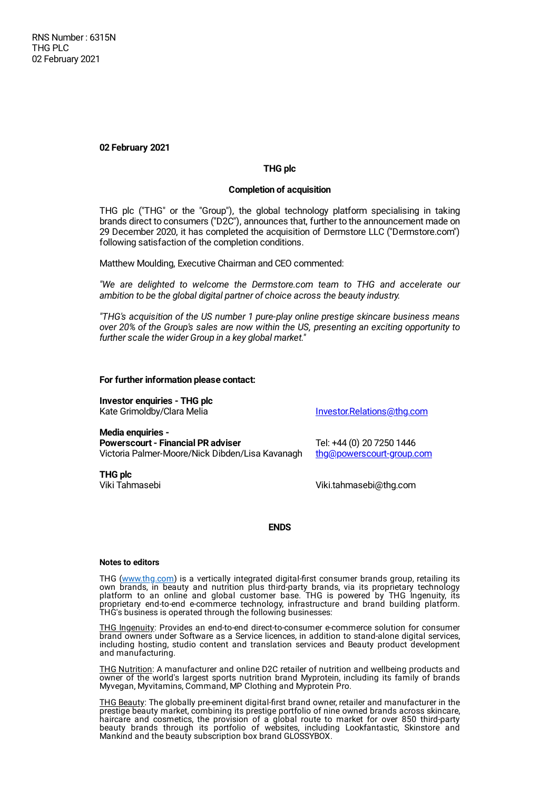**02 February 2021**

# **THG plc**

## **Completion of acquisition**

THG plc ("THG" or the "Group"), the global technology platform specialising in taking brands direct to consumers ("D2C"), announces that, further to the announcement made on 29 December 2020, it has completed the acquisition of Dermstore LLC ("Dermstore.com") following satisfaction of the completion conditions.

Matthew Moulding, Executive Chairman and CEO commented:

*"We are delighted to welcome the Dermstore.com team to THG and accelerate our ambition to be the global digital partner of choice across the beauty industry.*

*"THG's acquisition of the US number 1 pure-play online prestige skincare business means over 20% of the Group's sales are now within the US, presenting an exciting opportunity to further scale the wider Group in a key global market."*

### **For further information please contact:**

**Investor enquiries - THG plc** Kate Grimoldby/Clara Melia **[Investor.Relations@thg.com](mailto:Investor.Relations@thg.com)** 

**Media enquiries - Powerscourt - Financial PR adviser** Tel: +44 (0) 20 7250 1446 Victoria Palmer-Moore/Nick Dibden/Lisa Kavanagh [thg@powerscourt-group.com](mailto:thg@powerscourt-group.com)

**THG plc**

Viki Tahmasebi Viki.tahmasebi@thg.com

# **ENDS**

#### **Notes to editors**

THG (www.thg.com) is a vertically integrated digital-first consumer brands group, retailing its own brands, in beauty and nutrition plus third-party brands, via its proprietary technology platform to an online and global customer base. THG is powered by THG Ingenuity, its proprietary end-to-end e-commerce technology, infrastructure and brand building platform. THG's business is operated through the following businesses:

THG Ingenuity: Provides an end-to-end direct-to-consumer e-commerce solution for consumer brand owners under Software as a Service licences, in addition to stand-alone digital services, including hosting, studio content and translation services and Beauty product development and manufacturing.

THG Nutrition: A manufacturer and online D2C retailer of nutrition and wellbeing products and owner of the world's largest sports nutrition brand Myprotein, including its family of brands Myvegan, Myvitamins, Command, MP Clothing and Myprotein Pro.

THG Beauty: The globally pre-eminent digital-first brand owner, retailer and manufacturer in the prestige beauty market, combining its prestige portfolio of nine owned brands across skincare, haircare and cosmetics, the provision of a global route to market for over 850 third-party beauty brands through its portfolio of websites, including Lookfantastic, Skinstore and Mankind and the beauty subscription box brand GLOSSYBOX.